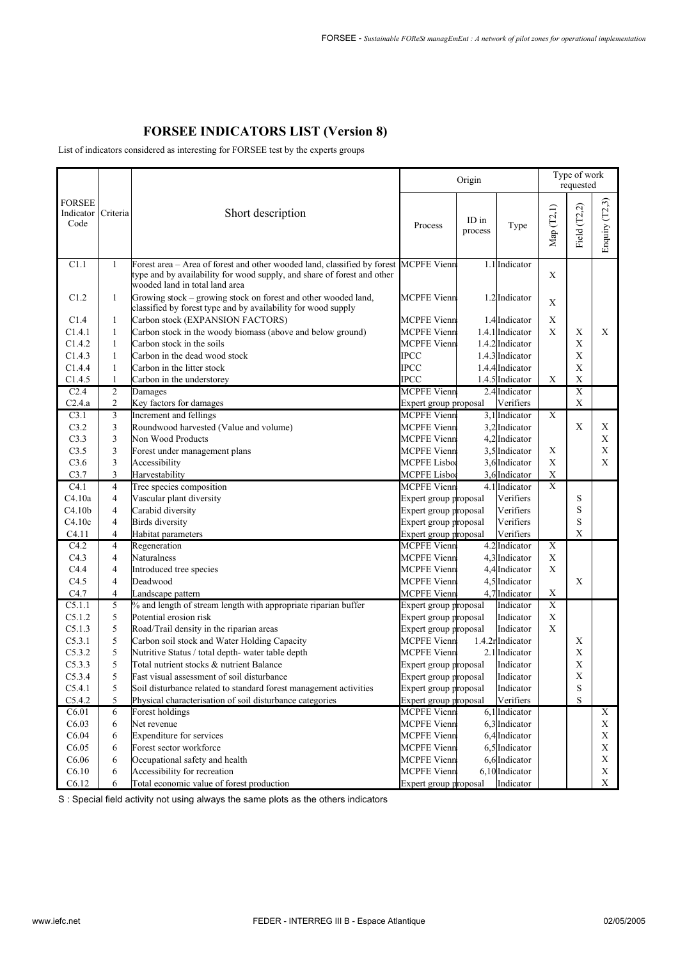## **FORSEE INDICATORS LIST (Version 8)**

List of indicators considered as interesting for FORSEE test by the experts groups

|                                                                                                                                                                                                                                     | Origin                        |                |                |                |  |
|-------------------------------------------------------------------------------------------------------------------------------------------------------------------------------------------------------------------------------------|-------------------------------|----------------|----------------|----------------|--|
| <b>FORSEE</b><br>Criteria<br>Short description<br>Indicator<br>Code<br>Process                                                                                                                                                      | ID in<br>Type<br>process      | Мар (Т2,1)     | Field (T2,2)   | Enquiry (T2,3) |  |
| <b>MCPFE Vienn</b><br>C1.1<br>Forest area - Area of forest and other wooded land, classified by forest<br>$\mathbf{1}$<br>type and by availability for wood supply, and share of forest and other<br>wooded land in total land area | 1.1 Indicator                 | X              |                |                |  |
| Growing stock - growing stock on forest and other wooded land,<br><b>MCPFE Vienn</b><br>C1.2<br>$\mathbf{1}$<br>classified by forest type and by availability for wood supply                                                       | 1.2 Indicator                 | X              |                |                |  |
| Carbon stock (EXPANSION FACTORS)<br>C1.4<br>MCPFE Vienn<br>1                                                                                                                                                                        | 1.4 Indicator                 | X              |                |                |  |
| Carbon stock in the woody biomass (above and below ground)<br><b>MCPFE Vienn</b><br>C1.4.1<br>$\mathbf{1}$                                                                                                                          | 1.4.1 Indicator               | X              | $\mathbf X$    | X              |  |
| C1.4.2<br>Carbon stock in the soils<br><b>MCPFE Vienn</b><br>$\mathbf{1}$                                                                                                                                                           | 1.4.2 Indicator               |                | $\mathbf X$    |                |  |
| C1.4.3<br>Carbon in the dead wood stock<br><b>IPCC</b><br>$\mathbf{1}$                                                                                                                                                              | 1.4.3 Indicator               |                | X              |                |  |
| <b>IPCC</b><br>C1.4.4<br>Carbon in the litter stock<br>$\mathbf{1}$                                                                                                                                                                 | 1.4.4 Indicator               |                | $\mathbf X$    |                |  |
| <b>IPCC</b><br>C1.4.5<br>$\mathbf{1}$<br>Carbon in the understorey                                                                                                                                                                  | 1.4.5 Indicator               | X              | $\mathbf X$    |                |  |
| <b>MCPFE</b> Vienn<br>$\overline{2}$<br>C <sub>2.4</sub><br>Damages                                                                                                                                                                 | 2.4 Indicator                 |                | $\overline{X}$ |                |  |
| C2.4.a<br>$\overline{c}$<br>Key factors for damages<br>Expert group proposal                                                                                                                                                        | Verifiers                     |                | $\mathbf X$    |                |  |
| Increment and fellings<br>$\mathfrak{Z}$<br><b>MCPFE</b> Vienn<br>C3.1                                                                                                                                                              | 3,1 Indicator                 | $\overline{X}$ |                |                |  |
| $\mathfrak{Z}$<br>C3.2<br>Roundwood harvested (Value and volume)<br><b>MCPFE Vienn</b>                                                                                                                                              | 3,2 Indicator                 |                | X              | X              |  |
| Non Wood Products<br>C3.3<br>3<br><b>MCPFE Vienn</b>                                                                                                                                                                                | 4,2 Indicator                 |                |                | X              |  |
| C3.5<br>3<br><b>MCPFE Vienn</b><br>Forest under management plans                                                                                                                                                                    | 3,5 Indicator                 | X              |                | $\mathbf X$    |  |
| $\mathfrak{Z}$<br>C3.6<br>Accessibility<br><b>MCPFE</b> Lisboa                                                                                                                                                                      | 3,6 Indicator                 | X              |                | X              |  |
| 3<br>Harvestability<br><b>MCPFE</b> Lisboa<br>C3.7                                                                                                                                                                                  | 3,6 Indicator                 | $\mathbf X$    |                |                |  |
| $\overline{4}$<br>Tree species composition<br>C4.1<br><b>MCPFE Vienn</b>                                                                                                                                                            | 4.1 Indicator                 | $\overline{X}$ |                |                |  |
| C4.10a<br>$\overline{4}$<br>Vascular plant diversity<br>Expert group proposal                                                                                                                                                       | Verifiers                     |                | S              |                |  |
| $\overline{4}$<br>Carabid diversity<br>Expert group proposal<br>C4.10 <sub>b</sub>                                                                                                                                                  | Verifiers                     |                | S              |                |  |
| C4.10c<br>$\overline{4}$<br><b>Birds</b> diversity<br>Expert group proposal                                                                                                                                                         | Verifiers                     |                | S              |                |  |
| Habitat parameters<br>Expert group proposal<br>C4.11<br>$\overline{4}$                                                                                                                                                              | Verifiers                     |                | X              |                |  |
| Regeneration<br><b>MCPFE Vienn</b><br>C4.2<br>$\overline{4}$                                                                                                                                                                        | 4.2 Indicator                 | $\overline{X}$ |                |                |  |
| C4.3<br>$\overline{4}$<br>Naturalness<br><b>MCPFE Vienn</b>                                                                                                                                                                         | 4,3 Indicator                 | X              |                |                |  |
| C4.4<br>$\overline{4}$<br>Introduced tree species<br><b>MCPFE Vienn</b>                                                                                                                                                             | 4,4 Indicator                 | X              |                |                |  |
| C4.5<br>$\overline{4}$<br>Deadwood<br><b>MCPFE Vienn</b>                                                                                                                                                                            | 4,5 Indicator                 |                | $\mathbf X$    |                |  |
| <b>MCPFE Vienn</b><br>C4.7<br>$\overline{4}$<br>Landscape pattern                                                                                                                                                                   | 4,7 Indicator                 | $\mathbf X$    |                |                |  |
| % and length of stream length with appropriate riparian buffer<br>5<br>$C_{5.1.1}$<br>Expert group proposal                                                                                                                         | Indicator                     | $\overline{X}$ |                |                |  |
| 5<br>C5.1.2<br>Potential erosion risk<br>Expert group proposal                                                                                                                                                                      | Indicator                     | X<br>X         |                |                |  |
| C5.1.3<br>5<br>Road/Trail density in the riparian areas<br>Expert group proposal<br>Carbon soil stock and Water Holding Capacity<br>5<br><b>MCPFE Vienn</b>                                                                         | Indicator<br>1.4.2r Indicator |                |                |                |  |
| C5.3.1<br>Nutritive Status / total depth- water table depth<br><b>MCPFE Vienn</b>                                                                                                                                                   | 2.1 Indicator                 |                | Χ<br>X         |                |  |
| C5.3.2<br>5                                                                                                                                                                                                                         |                               |                |                |                |  |
| C5.3.3<br>5<br>Total nutrient stocks & nutrient Balance<br>Expert group proposal<br>5                                                                                                                                               | Indicator                     |                | $\mathbf X$    |                |  |
| C5.3.4<br>Expert group proposal<br>Fast visual assessment of soil disturbance<br>Soil disturbance related to standard forest management activities                                                                                  | Indicator<br>Indicator        |                | X<br>S         |                |  |
| C5.4.1<br>5<br>Expert group proposal<br>5                                                                                                                                                                                           | Verifiers                     |                | $\mathbf S$    |                |  |
| C5.4.2<br>Physical characterisation of soil disturbance categories<br>Expert group proposal<br>6<br>Forest holdings<br><b>MCPFE Vienn</b><br>C6.01                                                                                  | 6,1 Indicator                 |                |                | $\mathbf X$    |  |
| Net revenue<br>C6.03<br>6<br><b>MCPFE Vienn</b>                                                                                                                                                                                     | 6,3 Indicator                 |                |                | X              |  |
| Expenditure for services<br>C6.04<br>MCPFE Vienn<br>6                                                                                                                                                                               | 6,4 Indicator                 |                |                | X              |  |
| Forest sector workforce<br><b>MCPFE Vienn</b><br>C6.05<br>6                                                                                                                                                                         | 6,5 Indicator                 |                |                | X              |  |
| Occupational safety and health<br>C6.06<br><b>MCPFE Vienn</b><br>6                                                                                                                                                                  | 6,6 Indicator                 |                |                | X              |  |
| Accessibility for recreation<br>C6.10<br><b>MCPFE Vienn</b><br>6                                                                                                                                                                    | 6,10 Indicator                |                |                | X              |  |
| C6.12<br>Total economic value of forest production<br>Expert group proposal<br>6                                                                                                                                                    | Indicator                     |                |                | X              |  |

S : Special field activity not using always the same plots as the others indicators